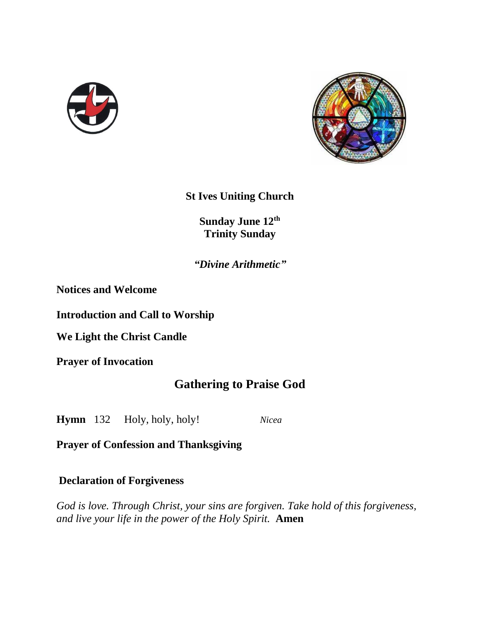



**St Ives Uniting Church**

**Sunday June 12th Trinity Sunday**

*"Divine Arithmetic"*

**Notices and Welcome** 

**Introduction and Call to Worship**

**We Light the Christ Candle**

**Prayer of Invocation**

# **Gathering to Praise God**

**Hymn** 132 Holy, holy, holy! *Nicea*

**Prayer of Confession and Thanksgiving**

#### **Declaration of Forgiveness**

*God is love. Through Christ, your sins are forgiven. Take hold of this forgiveness, and live your life in the power of the Holy Spirit.* **Amen**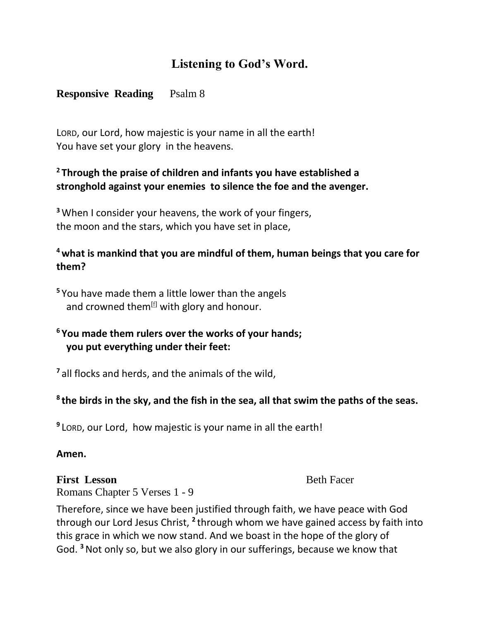# **Listening to God's Word.**

# **Responsive Reading** Psalm 8

LORD, our Lord, how majestic is your name in all the earth! You have set your glory in the heavens.

# **<sup>2</sup> Through the praise of children and infants you have established a stronghold against your enemies to silence the foe and the avenger.**

**<sup>3</sup>**When I consider your heavens, the work of your fingers, the moon and the stars, which you have set in place,

# **<sup>4</sup>what is mankind that you are mindful of them, human beings that you care for them?**

**<sup>5</sup>** You have made them a little lower than the angels and crowned them $[<sup>f</sup>]$  with glory and honour.

# **<sup>6</sup> You made them rulers over the works of your hands; you put everything under their feet:**

**<sup>7</sup>** all flocks and herds, and the animals of the wild,

# **8 the birds in the sky, and the fish in the sea, all that swim the paths of the seas.**

**9** LORD, our Lord, how majestic is your name in all the earth!

#### **Amen.**

### **First Lesson Beth Facer**

Romans Chapter 5 Verses 1 - 9

Therefore, since we have been justified through faith, we have peace with God through our Lord Jesus Christ, <sup>2</sup> through whom we have gained access by faith into this grace in which we now stand. And we boast in the hope of the glory of God. **<sup>3</sup>**Not only so, but we also glory in our sufferings, because we know that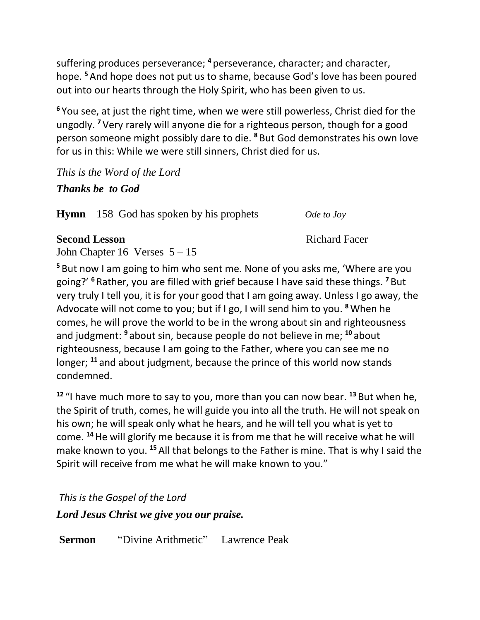suffering produces perseverance; <sup>4</sup> perseverance, character; and character, hope. **<sup>5</sup>**And hope does not put us to shame, because God's love has been poured out into our hearts through the Holy Spirit, who has been given to us.

**<sup>6</sup>** You see, at just the right time, when we were still powerless, Christ died for the ungodly. **<sup>7</sup>** Very rarely will anyone die for a righteous person, though for a good person someone might possibly dare to die. **<sup>8</sup>** But God demonstrates his own love for us in this: While we were still sinners, Christ died for us.

*This is the Word of the Lord Thanks be to God*

**Hymn** 158 God has spoken by his prophets*Ode to Joy*

### **Second Lesson** Richard Facer

John Chapter 16 Verses  $5 - 15$ 

**<sup>5</sup>** But now I am going to him who sent me. None of you asks me, 'Where are you going?' **<sup>6</sup>** Rather, you are filled with grief because I have said these things. **<sup>7</sup>** But very truly I tell you, it is for your good that I am going away. Unless I go away, the Advocate will not come to you; but if I go, I will send him to you. **<sup>8</sup>**When he comes, he will prove the world to be in the wrong about sin and righteousness and judgment: **<sup>9</sup>** about sin, because people do not believe in me; **<sup>10</sup>** about righteousness, because I am going to the Father, where you can see me no longer; **<sup>11</sup>** and about judgment, because the prince of this world now stands condemned.

**<sup>12</sup>** "I have much more to say to you, more than you can now bear. **<sup>13</sup>** But when he, the Spirit of truth, comes, he will guide you into all the truth. He will not speak on his own; he will speak only what he hears, and he will tell you what is yet to come. **<sup>14</sup>**He will glorify me because it is from me that he will receive what he will make known to you. **<sup>15</sup>** All that belongs to the Father is mine. That is why I said the Spirit will receive from me what he will make known to you."

*This is the Gospel of the Lord*

*Lord Jesus Christ we give you our praise.*

**Sermon** "Divine Arithmetic" Lawrence Peak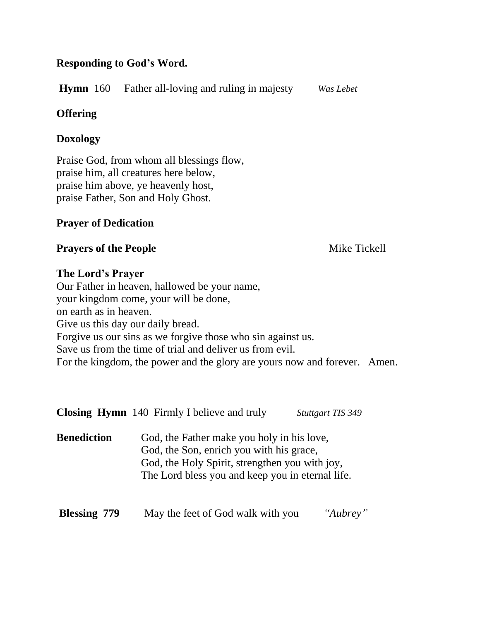## **Responding to God's Word.**

**Hymn** 160 Father all-loving and ruling in majesty*Was Lebet*

# **Offering**

## **Doxology**

Praise God, from whom all blessings flow, praise him, all creatures here below, praise him above, ye heavenly host, praise Father, Son and Holy Ghost.

## **Prayer of Dedication**

## **Prayers of the People Mike Tickell**

## **The Lord's Prayer**

Our Father in heaven, hallowed be your name, your kingdom come, your will be done, on earth as in heaven. Give us this day our daily bread. Forgive us our sins as we forgive those who sin against us. Save us from the time of trial and deliver us from evil. For the kingdom, the power and the glory are yours now and forever. Amen.

|                     | <b>Closing Hymn</b> 140 Firmly I believe and truly                                                                                                                                           | <b>Stuttgart TIS 349</b> |
|---------------------|----------------------------------------------------------------------------------------------------------------------------------------------------------------------------------------------|--------------------------|
| <b>Benediction</b>  | God, the Father make you holy in his love,<br>God, the Son, enrich you with his grace,<br>God, the Holy Spirit, strengthen you with joy,<br>The Lord bless you and keep you in eternal life. |                          |
| <b>Blessing 779</b> | May the feet of God walk with you                                                                                                                                                            | "Aubrey"                 |